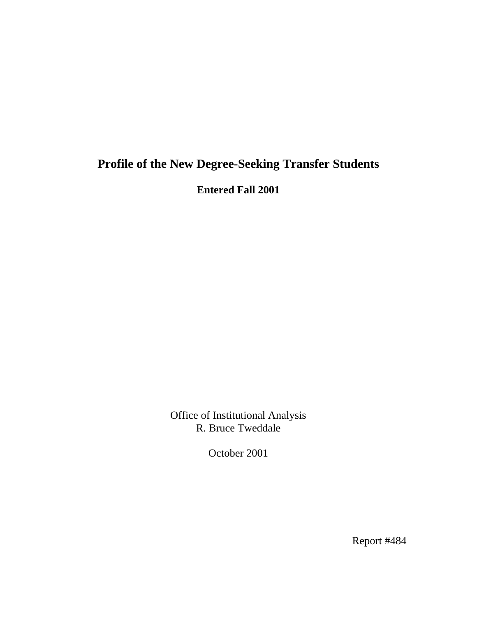# **Profile of the New Degree-Seeking Transfer Students**

**Entered Fall 2001** 

Office of Institutional Analysis R. Bruce Tweddale

October 2001

Report #484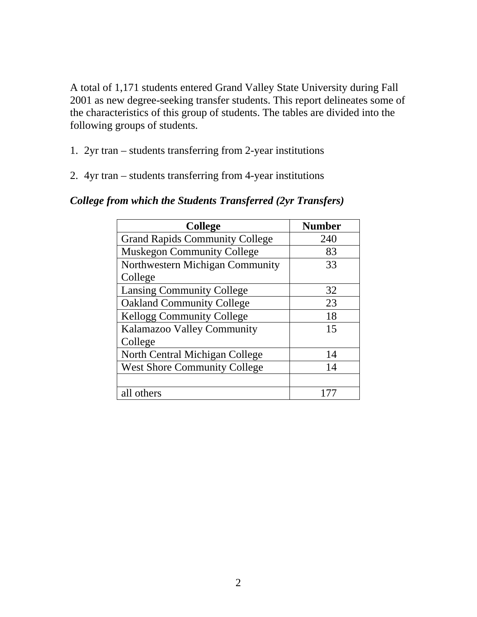A total of 1,171 students entered Grand Valley State University during Fall 2001 as new degree-seeking transfer students. This report delineates some of the characteristics of this group of students. The tables are divided into the following groups of students.

- 1. 2yr tran students transferring from 2-year institutions
- 2. 4yr tran students transferring from 4-year institutions

| <b>College</b>                        | <b>Number</b> |
|---------------------------------------|---------------|
| <b>Grand Rapids Community College</b> | 240           |
| <b>Muskegon Community College</b>     | 83            |
| Northwestern Michigan Community       | 33            |
| College                               |               |
| <b>Lansing Community College</b>      | 32            |
| <b>Oakland Community College</b>      | 23            |
| <b>Kellogg Community College</b>      | 18            |
| Kalamazoo Valley Community            | 15            |
| College                               |               |
| North Central Michigan College        | 14            |
| <b>West Shore Community College</b>   | 14            |
|                                       |               |
| all others                            |               |

#### *College from which the Students Transferred (2yr Transfers)*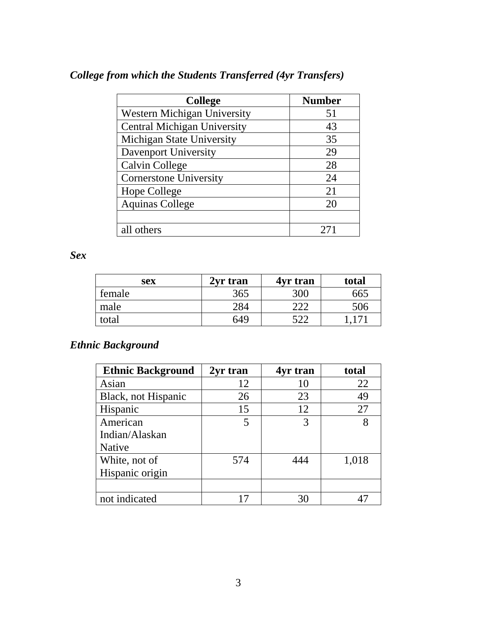| <b>College</b>                     | <b>Number</b> |
|------------------------------------|---------------|
| Western Michigan University        | 51            |
| <b>Central Michigan University</b> | 43            |
| <b>Michigan State University</b>   | 35            |
| <b>Davenport University</b>        | 29            |
| Calvin College                     | 28            |
| <b>Cornerstone University</b>      | 24            |
| Hope College                       | 21            |
| <b>Aquinas College</b>             | 20            |
|                                    |               |
| all others                         |               |

## *College from which the Students Transferred (4yr Transfers)*

#### *Sex*

| sex    | 2yr tran | 4yr tran | total           |
|--------|----------|----------|-----------------|
| female | 365      | 300      | 665             |
| male   | 284      | റററ      | 506             |
| total  | 649      | 522      | 17 <sup>1</sup> |

## *Ethnic Background*

| <b>Ethnic Background</b> | 2yr tran | 4yr tran | total |
|--------------------------|----------|----------|-------|
| Asian                    | 12       | 10       | 22    |
| Black, not Hispanic      | 26       | 23       | 49    |
| Hispanic                 | 15       | 12       | 27    |
| American                 | 5        | 3        |       |
| Indian/Alaskan           |          |          |       |
| <b>Native</b>            |          |          |       |
| White, not of            | 574      | 444      | 1,018 |
| Hispanic origin          |          |          |       |
|                          |          |          |       |
| not indicated            |          | 30       |       |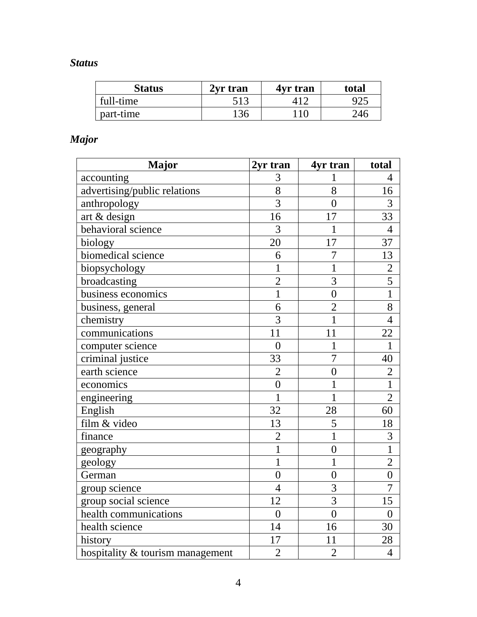## *Status*

| <b>Status</b> | 2vr tran | <b>4yr tran</b> | total |
|---------------|----------|-----------------|-------|
| full-time     | 513      |                 | 925   |
| part-time     | 136      | 110             | 246   |

# *Major*

| <b>Major</b>                     | 2yr tran         | 4yr tran       | total          |
|----------------------------------|------------------|----------------|----------------|
| accounting                       | 3                | 1              | 4              |
| advertising/public relations     | $\overline{8}$   | 8              | 16             |
| anthropology                     | $\overline{3}$   | $\overline{0}$ | 3              |
| art & design                     | 16               | 17             | 33             |
| behavioral science               | $\overline{3}$   | $\mathbf{1}$   | $\overline{4}$ |
| biology                          | 20               | 17             | 37             |
| biomedical science               | 6                | $\overline{7}$ | 13             |
| biopsychology                    | $\mathbf{1}$     | 1              | $\overline{2}$ |
| broadcasting                     | $\overline{2}$   | $\overline{3}$ | 5              |
| business economics               | $\mathbf{1}$     | $\overline{0}$ | $\mathbf{1}$   |
| business, general                | 6                | $\overline{2}$ | 8              |
| chemistry                        | $\overline{3}$   | $\mathbf{1}$   | $\overline{4}$ |
| communications                   | 11               | 11             | 22             |
| computer science                 | $\overline{0}$   | $\mathbf{1}$   | $\mathbf{1}$   |
| criminal justice                 | 33               | $\overline{7}$ | 40             |
| earth science                    | $\overline{2}$   | $\overline{0}$ | $\overline{2}$ |
| economics                        | $\overline{0}$   | 1              | $\mathbf{1}$   |
| engineering                      | $\mathbf{1}$     | $\mathbf{1}$   | $\overline{2}$ |
| English                          | 32               | 28             | 60             |
| film & video                     | 13               | 5              | 18             |
| finance                          | $\overline{2}$   | $\mathbf{1}$   | 3              |
| geography                        | $\overline{1}$   | $\overline{0}$ | $\mathbf{1}$   |
| geology                          | $\overline{1}$   | $\mathbf{1}$   | $\overline{2}$ |
| German                           | $\overline{0}$   | $\overline{0}$ | $\overline{0}$ |
| group science                    | $\overline{4}$   | 3              | $\overline{7}$ |
| group social science             | 12               | $\overline{3}$ | 15             |
| health communications            | $\boldsymbol{0}$ | $\overline{0}$ | $\overline{0}$ |
| health science                   | 14               | 16             | 30             |
| history                          | 17               | 11             | 28             |
| hospitality & tourism management | $\overline{2}$   | $\overline{2}$ | $\overline{4}$ |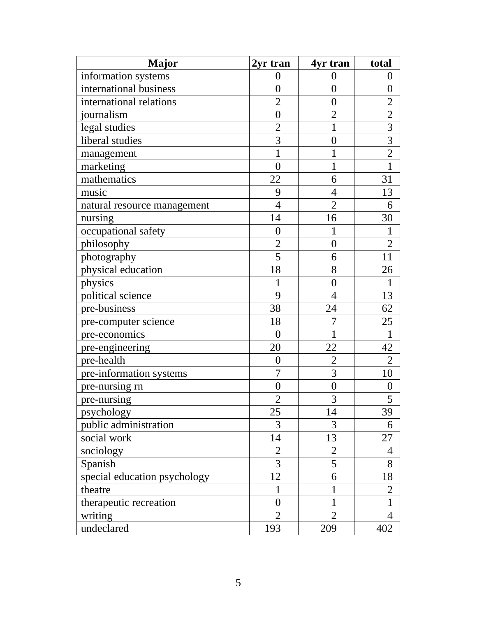| <b>Major</b>                 | 2yr tran         | 4yr tran         | total            |
|------------------------------|------------------|------------------|------------------|
| information systems          | $\boldsymbol{0}$ | $\overline{0}$   | $\overline{0}$   |
| international business       | $\overline{0}$   | $\overline{0}$   | $\overline{0}$   |
| international relations      | $\overline{2}$   | $\boldsymbol{0}$ | $\overline{2}$   |
| journalism                   | $\boldsymbol{0}$ | $\overline{2}$   | $\overline{2}$   |
| legal studies                | $\overline{2}$   | 1                | $\overline{3}$   |
| liberal studies              | 3                | $\boldsymbol{0}$ | $\overline{3}$   |
| management                   | $\mathbf{1}$     | 1                | $\overline{c}$   |
| marketing                    | $\overline{0}$   | $\mathbf{1}$     | $\mathbf{1}$     |
| mathematics                  | 22               | 6                | 31               |
| music                        | 9                | $\overline{4}$   | 13               |
| natural resource management  | $\overline{4}$   | $\overline{2}$   | 6                |
| nursing                      | 14               | 16               | 30               |
| occupational safety          | $\boldsymbol{0}$ | 1                | $\mathbf{1}$     |
| philosophy                   | $\overline{2}$   | $\overline{0}$   | $\overline{2}$   |
| photography                  | 5                | 6                | 11               |
| physical education           | 18               | 8                | 26               |
| physics                      | 1                | $\overline{0}$   | $\mathbf{1}$     |
| political science            | 9                | $\overline{4}$   | 13               |
| pre-business                 | 38               | 24               | 62               |
| pre-computer science         | 18               | $\overline{7}$   | 25               |
| pre-economics                | $\boldsymbol{0}$ | $\mathbf 1$      | $\mathbf{1}$     |
| pre-engineering              | 20               | 22               | 42               |
| pre-health                   | $\boldsymbol{0}$ | $\overline{2}$   | $\overline{2}$   |
| pre-information systems      | $\overline{7}$   | $\overline{3}$   | 10               |
| pre-nursing rn               | $\boldsymbol{0}$ | $\overline{0}$   | $\boldsymbol{0}$ |
| pre-nursing                  | $\overline{2}$   | 3                | 5                |
| psychology                   | 25               | 14               | 39               |
| public administration        | 3                | 3                | 6                |
| social work                  | 14               | 13               | 27               |
| sociology                    | $\overline{2}$   | $\overline{2}$   | 4                |
| Spanish                      | 3                | 5                | 8                |
| special education psychology | 12               | 6                | 18               |
| theatre                      | 1                | 1                | $\overline{2}$   |
| therapeutic recreation       | $\overline{0}$   | 1                | $\mathbf{1}$     |
| writing                      | $\overline{2}$   | $\overline{2}$   | 4                |
| undeclared                   | 193              | 209              | 402              |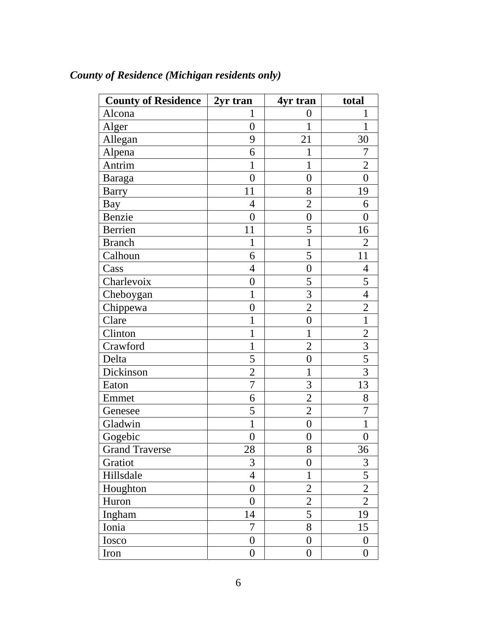| <b>County of Residence</b> | 2yr tran         | 4yr tran         | total            |
|----------------------------|------------------|------------------|------------------|
| Alcona                     | 1                | $\overline{0}$   | 1                |
| Alger                      | $\boldsymbol{0}$ | 1                | $\mathbf{1}$     |
| Allegan                    | 9                | 21               | 30               |
| Alpena                     | 6                | 1                | 7                |
| Antrim                     | 1                | 1                | 2                |
| Baraga                     | $\overline{0}$   | $\overline{0}$   | $\overline{0}$   |
| <b>Barry</b>               | 11               | 8                | 19               |
| Bay                        | $\overline{4}$   | $\overline{2}$   | 6                |
| Benzie                     | $\overline{0}$   | $\overline{0}$   | $\overline{0}$   |
| Berrien                    | 11               | 5                | 16               |
| <b>Branch</b>              | $\mathbf{1}$     | $\mathbf{1}$     | $\overline{2}$   |
| Calhoun                    | 6                | 5                | 11               |
| Cass                       | $\overline{4}$   | $\overline{0}$   | $\overline{4}$   |
| Charlevoix                 | $\boldsymbol{0}$ | 5                | 5                |
| Cheboygan                  | $\mathbf{1}$     | 3                | $\overline{4}$   |
| Chippewa                   | $\overline{0}$   | $\overline{2}$   | $\overline{2}$   |
| Clare                      | 1                | $\overline{0}$   | $\mathbf{1}$     |
| Clinton                    | $\mathbf 1$      | $\mathbf 1$      | $\overline{c}$   |
| Crawford                   | 1                | $\overline{2}$   | $\overline{3}$   |
| Delta                      | 5                | $\boldsymbol{0}$ | 5                |
| Dickinson                  | $\overline{2}$   | 1                | 3                |
| Eaton                      | 7                | 3                | 13               |
| Emmet                      | 6                | $\overline{2}$   | 8                |
| Genesee                    | 5                | $\overline{2}$   | $\overline{7}$   |
| Gladwin                    | $\mathbf{1}$     | $\overline{0}$   | $\mathbf{1}$     |
| Gogebic                    | $\overline{0}$   | $\overline{0}$   | $\boldsymbol{0}$ |
| <b>Grand Traverse</b>      | 28               | 8                | 36               |
| Gratiot                    | 3                | $\boldsymbol{0}$ | 3                |
| Hillsdale                  | $\overline{4}$   | $\mathbf{1}$     | 5                |
| Houghton                   | $\overline{0}$   | $\overline{2}$   | $\overline{2}$   |
| Huron                      | $\overline{0}$   | $\overline{c}$   | $\overline{2}$   |
| Ingham                     | 14               | 5                | 19               |
| Ionia                      | 7                | 8                | 15               |
| Iosco                      | $\overline{0}$   | $\overline{0}$   | $\overline{0}$   |
| Iron                       | $\boldsymbol{0}$ | $\boldsymbol{0}$ | $\boldsymbol{0}$ |

# *County of Residence (Michigan residents only)*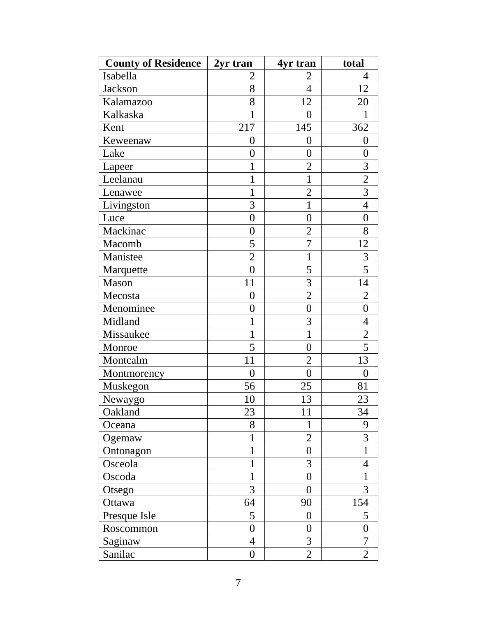| <b>County of Residence</b> | 2yr tran         | 4yr tran         | total            |
|----------------------------|------------------|------------------|------------------|
| Isabella                   | 2                | 2                | 4                |
| Jackson                    | 8                | 4                | 12               |
| Kalamazoo                  | 8                | 12               | 20               |
| Kalkaska                   | 1                | $\overline{0}$   | 1                |
| Kent                       | 217              | 145              | 362              |
| Keweenaw                   | $\overline{0}$   | 0                | $\overline{0}$   |
| Lake                       | $\overline{0}$   | $\overline{0}$   | $\boldsymbol{0}$ |
| Lapeer                     | $\mathbf{1}$     | $\overline{2}$   | 3                |
| Leelanau                   | 1                | $\mathbf{1}$     | $\overline{2}$   |
| Lenawee                    | $\mathbf{1}$     | $\overline{2}$   | 3                |
| Livingston                 | 3                | $\mathbf{1}$     | $\overline{4}$   |
| Luce                       | $\boldsymbol{0}$ | $\overline{0}$   | $\overline{0}$   |
| Mackinac                   | $\overline{0}$   | $\overline{2}$   | 8                |
| Macomb                     | 5                | $\overline{7}$   | 12               |
| Manistee                   | $\overline{2}$   | $\mathbf 1$      | 3                |
| Marquette                  | $\overline{0}$   | 5                | 5                |
| Mason                      | 11               | 3                | 14               |
| Mecosta                    | $\overline{0}$   | $\overline{2}$   | 2                |
| Menominee                  | $\overline{0}$   | $\overline{0}$   | $\overline{0}$   |
| Midland                    | $\mathbf{1}$     | 3                | $\overline{4}$   |
| Missaukee                  | $\mathbf{1}$     | $\mathbf{1}$     | $\overline{2}$   |
| Monroe                     | 5                | $\overline{0}$   | $\overline{5}$   |
| Montcalm                   | 11               | $\overline{2}$   | 13               |
| Montmorency                | $\overline{0}$   | $\overline{0}$   | $\boldsymbol{0}$ |
| Muskegon                   | 56               | 25               | 81               |
| Newaygo                    | 10               | 13               | 23               |
| Oakland                    | 23               | 11               | 34               |
| Oceana                     | 8                | 1                | 9                |
| Ogemaw                     | $\mathbf{1}$     | $\overline{2}$   | $\overline{3}$   |
| Ontonagon                  | 1                | $\overline{0}$   | 1                |
| Osceola                    | 1                | 3                | $\overline{4}$   |
| Oscoda                     | 1                | 0                |                  |
| Otsego                     | 3                | $\overline{0}$   | 3                |
| Ottawa                     | 64               | 90               | 154              |
| Presque Isle               | 5                | $\boldsymbol{0}$ | 5                |
| Roscommon                  | $\overline{0}$   | 0                | $\overline{0}$   |
| Saginaw                    | $\overline{4}$   | 3                | $\overline{7}$   |
| Sanilac                    | $\boldsymbol{0}$ | $\overline{2}$   | $\overline{2}$   |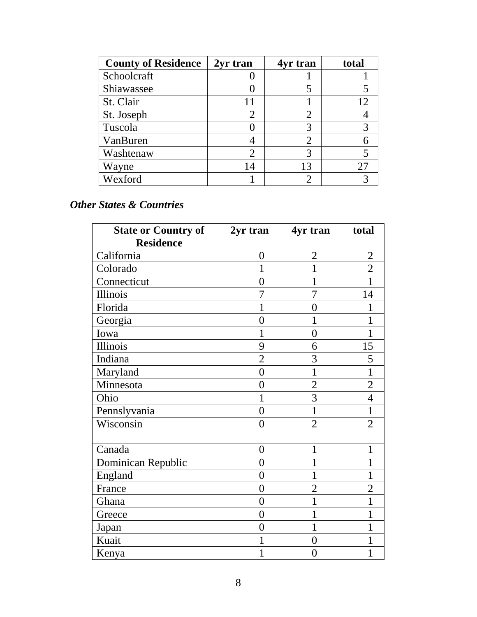| <b>County of Residence</b> | 2yr tran | 4yr tran                    | total |
|----------------------------|----------|-----------------------------|-------|
| Schoolcraft                |          |                             |       |
| Shiawassee                 |          |                             |       |
| St. Clair                  | 11       |                             | 12    |
| St. Joseph                 |          | $\mathcal{D}_{\mathcal{A}}$ |       |
| Tuscola                    |          |                             |       |
| VanBuren                   |          | 2                           |       |
| Washtenaw                  |          |                             |       |
| Wayne                      | 14       | 13                          | 27    |
| Wexford                    |          |                             |       |

#### *Other States & Countries*

| <b>State or Country of</b> | 2yr tran       | 4yr tran       | total          |
|----------------------------|----------------|----------------|----------------|
| <b>Residence</b>           |                |                |                |
| California                 | $\theta$       | $\overline{2}$ | $\overline{2}$ |
| Colorado                   | 1              | $\mathbf{1}$   | $\overline{2}$ |
| Connecticut                | 0              | 1              |                |
| Illinois                   |                | 7              | 14             |
| Florida                    |                | $\theta$       |                |
| Georgia                    | $\overline{0}$ | 1              | 1              |
| Iowa                       | 1              | $\overline{0}$ |                |
| Illinois                   | 9              | 6              | 15             |
| Indiana                    | $\overline{2}$ | 3              | 5              |
| Maryland                   | $\theta$       | 1              | 1              |
| Minnesota                  | 0              | $\overline{2}$ | $\overline{2}$ |
| Ohio                       | 1              | $\overline{3}$ | $\overline{4}$ |
| Pennslyvania               | $\overline{0}$ | $\mathbf{1}$   | $\mathbf 1$    |
| Wisconsin                  | $\Omega$       | $\overline{2}$ | $\overline{2}$ |
|                            |                |                |                |
| Canada                     | $\overline{0}$ | 1              | 1              |
| Dominican Republic         | $\theta$       | 1              | 1              |
| England                    | $\overline{0}$ | 1              |                |
| France                     | $\theta$       | $\overline{2}$ | $\overline{2}$ |
| Ghana                      | $\theta$       | 1              | 1              |
| Greece                     | $\overline{0}$ | 1              |                |
| Japan                      | $\overline{0}$ | 1              | 1              |
| Kuait                      |                | 0              |                |
| Kenya                      |                | 0              | 1              |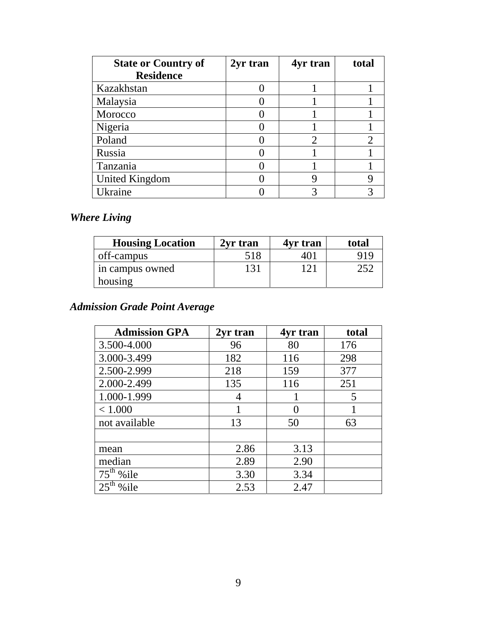| <b>State or Country of</b> | 2yr tran | 4yr tran | total |
|----------------------------|----------|----------|-------|
| <b>Residence</b>           |          |          |       |
| Kazakhstan                 |          |          |       |
| Malaysia                   |          |          |       |
| Morocco                    |          |          |       |
| Nigeria                    |          |          |       |
| Poland                     |          | 2        |       |
| Russia                     |          |          |       |
| Tanzania                   |          |          |       |
| <b>United Kingdom</b>      |          |          |       |
| Ukraine                    |          |          |       |

# *Where Living*

| <b>Housing Location</b> | 2vr tran | 4yr tran | total |
|-------------------------|----------|----------|-------|
| off-campus              | 518      | 401      | 919   |
| in campus owned         | 131      |          | 252   |
| housing                 |          |          |       |

## *Admission Grade Point Average*

| <b>Admission GPA</b>     | 2yr tran | 4yr tran | total |
|--------------------------|----------|----------|-------|
| 3.500-4.000              | 96       | 80       | 176   |
| 3.000-3.499              | 182      | 116      | 298   |
| 2.500-2.999              | 218      | 159      | 377   |
| 2.000-2.499              | 135      | 116      | 251   |
| 1.000-1.999              | 4        |          | 5     |
| < 1.000                  |          |          |       |
| not available            | 13       | 50       | 63    |
|                          |          |          |       |
| mean                     | 2.86     | 3.13     |       |
| median                   | 2.89     | 2.90     |       |
| $75th$ % ile             | 3.30     | 3.34     |       |
| $25^{\text{th}}$<br>%ile | 2.53     | 2.47     |       |